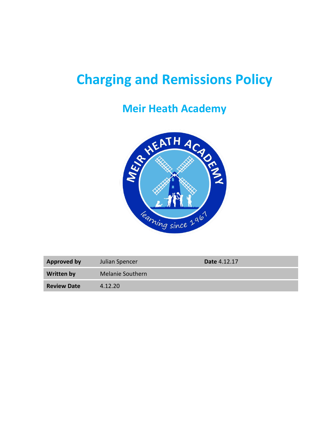# **Charging and Remissions Policy**

## **Meir Heath Academy**



| <b>Approved by</b> | Julian Spencer          | <b>Date 4.12.17</b> |
|--------------------|-------------------------|---------------------|
| <b>Written by</b>  | <b>Melanie Southern</b> |                     |
| <b>Review Date</b> | 4.12.20                 |                     |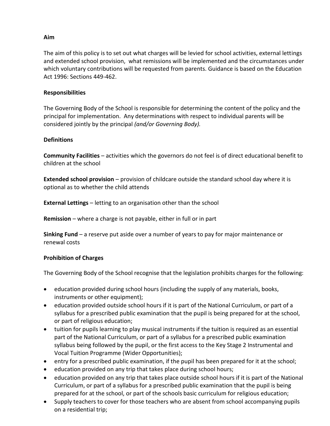#### **Aim**

The aim of this policy is to set out what charges will be levied for school activities, external lettings and extended school provision, what remissions will be implemented and the circumstances under which voluntary contributions will be requested from parents. Guidance is based on the Education Act 1996: Sections 449-462.

#### **Responsibilities**

The Governing Body of the School is responsible for determining the content of the policy and the principal for implementation. Any determinations with respect to individual parents will be considered jointly by the principal *(and/or Governing Body).*

#### **Definitions**

**Community Facilities** – activities which the governors do not feel is of direct educational benefit to children at the school

**Extended school provision** – provision of childcare outside the standard school day where it is optional as to whether the child attends

**External Lettings** – letting to an organisation other than the school

**Remission** – where a charge is not payable, either in full or in part

**Sinking Fund** – a reserve put aside over a number of years to pay for major maintenance or renewal costs

#### **Prohibition of Charges**

The Governing Body of the School recognise that the legislation prohibits charges for the following:

- education provided during school hours (including the supply of any materials, books, instruments or other equipment);
- education provided outside school hours if it is part of the National Curriculum, or part of a syllabus for a prescribed public examination that the pupil is being prepared for at the school, or part of religious education;
- tuition for pupils learning to play musical instruments if the tuition is required as an essential part of the National Curriculum, or part of a syllabus for a prescribed public examination syllabus being followed by the pupil, or the first access to the Key Stage 2 Instrumental and Vocal Tuition Programme (Wider Opportunities);
- entry for a prescribed public examination, if the pupil has been prepared for it at the school;
- education provided on any trip that takes place during school hours;
- education provided on any trip that takes place outside school hours if it is part of the National Curriculum, or part of a syllabus for a prescribed public examination that the pupil is being prepared for at the school, or part of the schools basic curriculum for religious education;
- Supply teachers to cover for those teachers who are absent from school accompanying pupils on a residential trip;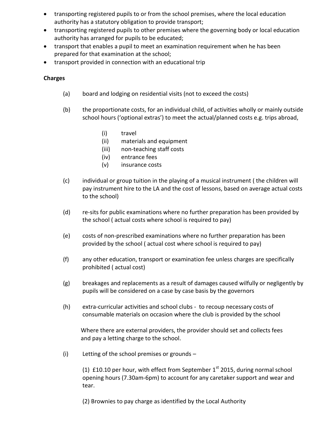- transporting registered pupils to or from the school premises, where the local education authority has a statutory obligation to provide transport;
- transporting registered pupils to other premises where the governing body or local education authority has arranged for pupils to be educated;
- transport that enables a pupil to meet an examination requirement when he has been prepared for that examination at the school;
- transport provided in connection with an educational trip

### **Charges**

- (a) board and lodging on residential visits (not to exceed the costs)
- (b) the proportionate costs, for an individual child, of activities wholly or mainly outside school hours ('optional extras') to meet the actual/planned costs e.g. trips abroad,
	- (i) travel
	- (ii) materials and equipment
	- (iii) non-teaching staff costs
	- (iv) entrance fees
	- (v) insurance costs
- (c) individual or group tuition in the playing of a musical instrument ( the children will pay instrument hire to the LA and the cost of lessons, based on average actual costs to the school)
- (d) re-sits for public examinations where no further preparation has been provided by the school ( actual costs where school is required to pay)
- (e) costs of non-prescribed examinations where no further preparation has been provided by the school ( actual cost where school is required to pay)
- (f) any other education, transport or examination fee unless charges are specifically prohibited ( actual cost)
- (g) breakages and replacements as a result of damages caused wilfully or negligently by pupils will be considered on a case by case basis by the governors
- (h) extra-curricular activities and school clubs to recoup necessary costs of consumable materials on occasion where the club is provided by the school

Where there are external providers, the provider should set and collects fees and pay a letting charge to the school.

(i) Letting of the school premises or grounds –

(1)  $£10.10$  per hour, with effect from September  $1<sup>st</sup>$  2015, during normal school opening hours (7.30am-6pm) to account for any caretaker support and wear and tear.

(2) Brownies to pay charge as identified by the Local Authority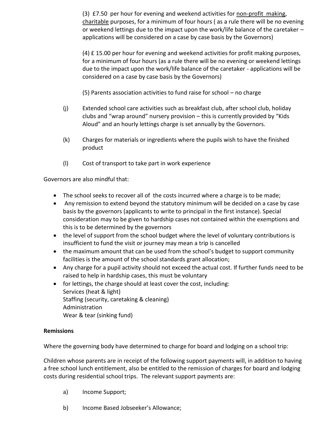(3) £7.50 per hour for evening and weekend activities for non-profit making, charitable purposes, for a minimum of four hours ( as a rule there will be no evening or weekend lettings due to the impact upon the work/life balance of the caretaker – applications will be considered on a case by case basis by the Governors)

(4) £ 15.00 per hour for evening and weekend activities for profit making purposes, for a minimum of four hours (as a rule there will be no evening or weekend lettings due to the impact upon the work/life balance of the caretaker - applications will be considered on a case by case basis by the Governors)

(5) Parents association activities to fund raise for school – no charge

- (j) Extended school care activities such as breakfast club, after school club, holiday clubs and "wrap around" nursery provision – this is currently provided by "Kids Aloud" and an hourly lettings charge is set annually by the Governors.
- (k) Charges for materials or ingredients where the pupils wish to have the finished product
- (l) Cost of transport to take part in work experience

Governors are also mindful that:

- The school seeks to recover all of the costs incurred where a charge is to be made;
- Any remission to extend beyond the statutory minimum will be decided on a case by case basis by the governors (applicants to write to principal in the first instance). Special consideration may to be given to hardship cases not contained within the exemptions and this is to be determined by the governors
- the level of support from the school budget where the level of voluntary contributions is insufficient to fund the visit or journey may mean a trip is cancelled
- the maximum amount that can be used from the school's budget to support community facilities is the amount of the school standards grant allocation;
- Any charge for a pupil activity should not exceed the actual cost. If further funds need to be raised to help in hardship cases, this must be voluntary
- for lettings, the charge should at least cover the cost, including: Services (heat & light) Staffing (security, caretaking & cleaning) Administration Wear & tear (sinking fund)

#### **Remissions**

Where the governing body have determined to charge for board and lodging on a school trip:

Children whose parents are in receipt of the following support payments will, in addition to having a free school lunch entitlement, also be entitled to the remission of charges for board and lodging costs during residential school trips. The relevant support payments are:

- a) Income Support;
- b) Income Based Jobseeker's Allowance;